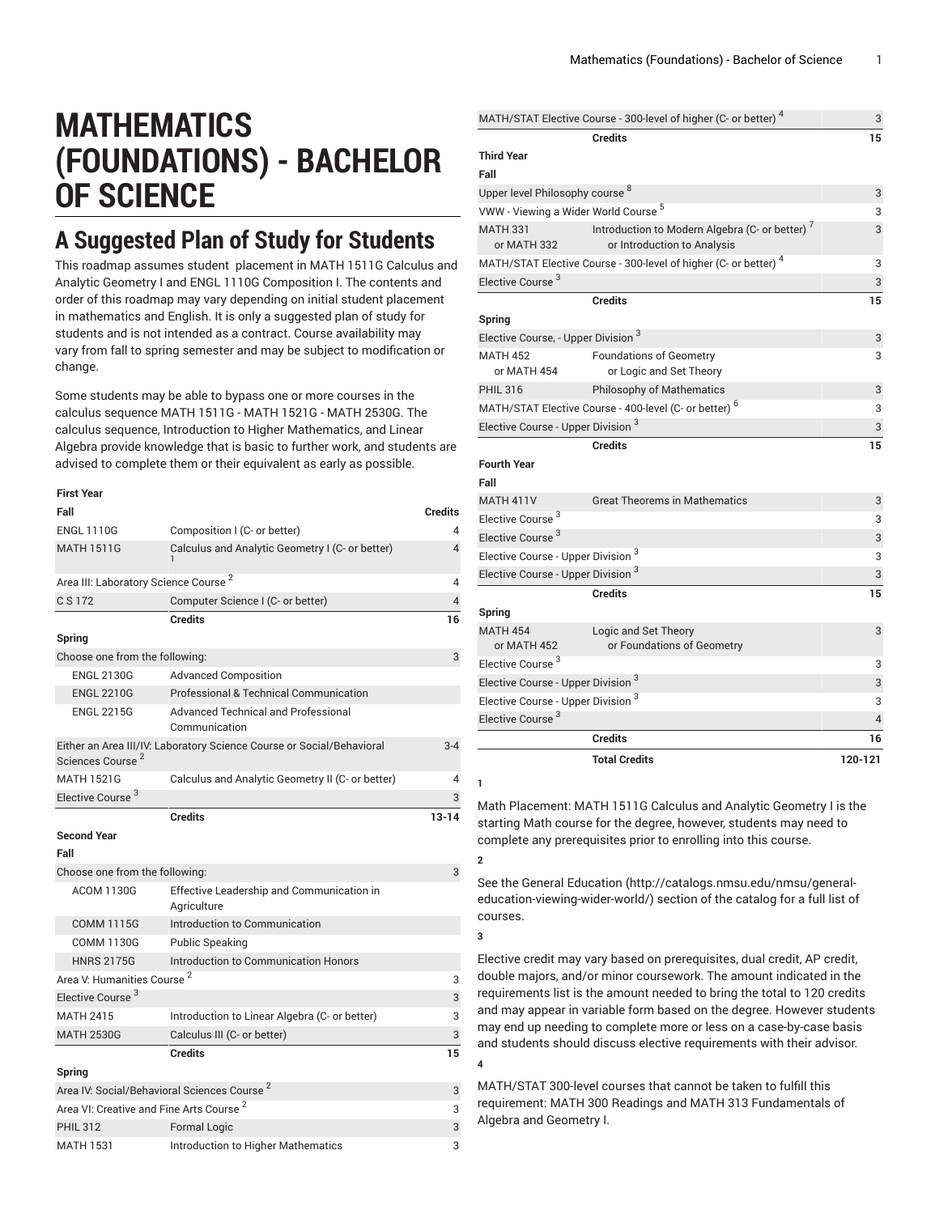## **MATHEMATICS (FOUNDATIONS) - BACHELOR OF SCIENCE**

## **A Suggested Plan of Study for Students**

This roadmap assumes student placement in MATH 1511G Calculus and Analytic Geometry I and ENGL 1110G Composition I. The contents and order of this roadmap may vary depending on initial student placement in mathematics and English. It is only a suggested plan of study for students and is not intended as a contract. Course availability may vary from fall to spring semester and may be subject to modification or change.

Some students may be able to bypass one or more courses in the calculus sequence MATH 1511G - MATH 1521G - MATH 2530G. The calculus sequence, Introduction to Higher Mathematics, and Linear Algebra provide knowledge that is basic to further work, and students are advised to complete them or their equivalent as early as possible.

| First Year                                              |                                                                       |                          |
|---------------------------------------------------------|-----------------------------------------------------------------------|--------------------------|
| Fall                                                    |                                                                       | <b>Credits</b>           |
| <b>ENGL 1110G</b>                                       | Composition I (C- or better)                                          | 4                        |
| <b>MATH 1511G</b>                                       | Calculus and Analytic Geometry I (C- or better)                       | $\overline{\mathcal{L}}$ |
| Area III: Laboratory Science Course <sup>2</sup>        |                                                                       | 4                        |
| C S 172                                                 | Computer Science I (C- or better)                                     | 4                        |
|                                                         | <b>Credits</b>                                                        | 16                       |
| <b>Spring</b>                                           |                                                                       |                          |
| Choose one from the following:                          |                                                                       | 3                        |
| <b>ENGL 2130G</b>                                       | <b>Advanced Composition</b>                                           |                          |
| <b>ENGL 2210G</b>                                       | Professional & Technical Communication                                |                          |
| <b>ENGL 2215G</b>                                       | Advanced Technical and Professional<br>Communication                  |                          |
| Sciences Course <sup>2</sup>                            | Either an Area III/IV: Laboratory Science Course or Social/Behavioral | $3 - 4$                  |
| <b>MATH 1521G</b>                                       | Calculus and Analytic Geometry II (C- or better)                      | 4                        |
| Elective Course <sup>3</sup>                            |                                                                       | 3                        |
| <b>Second Year</b><br>Fall                              | <b>Credits</b>                                                        | $13 - 14$                |
| Choose one from the following:                          |                                                                       | 3                        |
| <b>ACOM 1130G</b>                                       | Effective Leadership and Communication in<br>Agriculture              |                          |
| <b>COMM 1115G</b>                                       | Introduction to Communication                                         |                          |
| <b>COMM 1130G</b>                                       | <b>Public Speaking</b>                                                |                          |
| <b>HNRS 2175G</b>                                       | Introduction to Communication Honors                                  |                          |
| Area V: Humanities Course <sup>2</sup>                  |                                                                       | 3                        |
| Elective Course <sup>3</sup>                            |                                                                       | 3                        |
| <b>MATH 2415</b>                                        | Introduction to Linear Algebra (C- or better)                         | 3                        |
| <b>MATH 2530G</b>                                       | Calculus III (C- or better)                                           | 3                        |
|                                                         | <b>Credits</b>                                                        | 15                       |
| Spring                                                  |                                                                       |                          |
| Area IV: Social/Behavioral Sciences Course <sup>2</sup> |                                                                       | 3                        |
| Area VI: Creative and Fine Arts Course <sup>2</sup>     |                                                                       | 3                        |
| <b>PHIL 312</b>                                         | Formal Logic                                                          | 3                        |
| <b>MATH 1531</b>                                        | <b>Introduction to Higher Mathematics</b>                             | 3                        |

|                                                 | MATH/STAT Elective Course - 300-level of higher (C- or better) <sup>4</sup>               | 3              |
|-------------------------------------------------|-------------------------------------------------------------------------------------------|----------------|
|                                                 | <b>Credits</b>                                                                            | 15             |
| <b>Third Year</b>                               |                                                                                           |                |
| Fall                                            |                                                                                           |                |
| Upper level Philosophy course 8                 |                                                                                           | 3              |
| VWW - Viewing a Wider World Course <sup>5</sup> |                                                                                           | 3              |
| <b>MATH 331</b><br>or MATH 332                  | Introduction to Modern Algebra (C- or better) <sup>7</sup><br>or Introduction to Analysis | 3              |
|                                                 | MATH/STAT Elective Course - 300-level of higher (C- or better) <sup>4</sup>               | 3              |
| Elective Course <sup>3</sup>                    |                                                                                           | 3              |
|                                                 | <b>Credits</b>                                                                            | 15             |
| Spring                                          |                                                                                           |                |
| Elective Course, - Upper Division <sup>3</sup>  |                                                                                           | 3              |
| <b>MATH 452</b><br>or MATH 454                  | <b>Foundations of Geometry</b><br>or Logic and Set Theory                                 | 3              |
| <b>PHIL 316</b>                                 | <b>Philosophy of Mathematics</b>                                                          | 3              |
|                                                 | MATH/STAT Elective Course - 400-level (C- or better) <sup>6</sup>                         | 3              |
| Elective Course - Upper Division <sup>3</sup>   |                                                                                           | 3              |
|                                                 | <b>Credits</b>                                                                            | 15             |
| <b>Fourth Year</b>                              |                                                                                           |                |
| Fall                                            |                                                                                           |                |
| <b>MATH 411V</b>                                | <b>Great Theorems in Mathematics</b>                                                      | 3              |
| Elective Course <sup>3</sup>                    |                                                                                           | 3              |
| Elective Course <sup>3</sup>                    |                                                                                           | 3              |
| Elective Course - Upper Division <sup>3</sup>   |                                                                                           | 3              |
| Elective Course - Upper Division <sup>3</sup>   |                                                                                           | 3              |
|                                                 | <b>Credits</b>                                                                            | 15             |
| Spring                                          |                                                                                           |                |
| <b>MATH 454</b><br>or MATH 452                  | Logic and Set Theory<br>or Foundations of Geometry                                        | 3              |
| Elective Course <sup>3</sup>                    |                                                                                           | 3              |
| Elective Course - Upper Division <sup>3</sup>   |                                                                                           | 3              |
| Elective Course - Upper Division <sup>3</sup>   |                                                                                           | 3              |
| Elective Course <sup>3</sup>                    |                                                                                           | $\overline{4}$ |
|                                                 | <b>Credits</b>                                                                            | 16             |
|                                                 | <b>Total Credits</b>                                                                      | 120-121        |
|                                                 |                                                                                           |                |

Math Placement: MATH 1511G Calculus and Analytic Geometry I is the starting Math course for the degree, however, students may need to complete any prerequisites prior to enrolling into this course.

**1**

**2**

**3**

See the General [Education](http://catalogs.nmsu.edu/nmsu/general-education-viewing-wider-world/) ([http://catalogs.nmsu.edu/nmsu/general](http://catalogs.nmsu.edu/nmsu/general-education-viewing-wider-world/)[education-viewing-wider-world/\)](http://catalogs.nmsu.edu/nmsu/general-education-viewing-wider-world/) section of the catalog for a full list of courses.

Elective credit may vary based on prerequisites, dual credit, AP credit, double majors, and/or minor coursework. The amount indicated in the requirements list is the amount needed to bring the total to 120 credits and may appear in variable form based on the degree. However students may end up needing to complete more or less on a case-by-case basis and students should discuss elective requirements with their advisor. **4**

MATH/STAT 300-level courses that cannot be taken to fulfill this requirement: MATH 300 Readings and MATH 313 Fundamentals of Algebra and Geometry I.